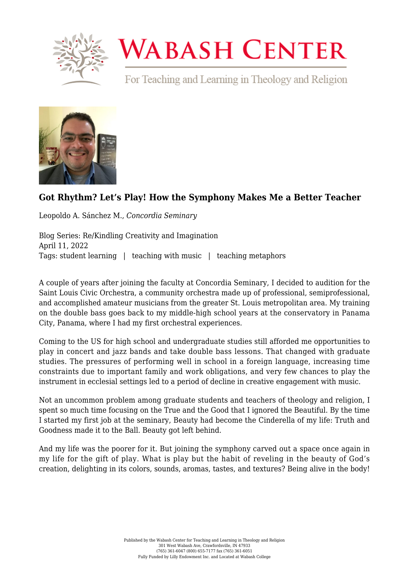

## **WABASH CENTER**

For Teaching and Learning in Theology and Religion



## **[Got Rhythm? Let's Play! How the Symphony Makes Me a Better Teacher](https://www.wabashcenter.wabash.edu/2022/04/got-rhythm-lets-play-how-the-symphony-makes-me-a-better-teacher/)**

Leopoldo A. Sánchez M., *Concordia Seminary*

Blog Series: Re/Kindling Creativity and Imagination April 11, 2022 Tags: student learning | teaching with music | teaching metaphors

A couple of years after joining the faculty at Concordia Seminary, I decided to audition for the [Saint Louis Civic Orchestra,](https://stlco.org/cms/) a community orchestra made up of professional, semiprofessional, and accomplished amateur musicians from the greater St. Louis metropolitan area. My training on the double bass goes back to my middle-high school years at the conservatory in Panama City, Panama, where I had my first orchestral experiences.

Coming to the US for high school and undergraduate studies still afforded me opportunities to play in concert and jazz bands and take double bass lessons. That changed with graduate studies. The pressures of performing well in school in a foreign language, increasing time constraints due to important family and work obligations, and very few chances to play the instrument in ecclesial settings led to a period of decline in creative engagement with music.

Not an uncommon problem among graduate students and teachers of theology and religion, I spent so much time focusing on the True and the Good that I ignored the Beautiful. By the time I started my first job at the seminary, Beauty had become the Cinderella of my life: Truth and Goodness made it to the Ball. Beauty got left behind.

And my life was the poorer for it. But joining the symphony carved out a space once again in my life for the gift of play. What is play but the habit of reveling in the beauty of God's creation, delighting in its colors, sounds, aromas, tastes, and textures? Being alive in the body!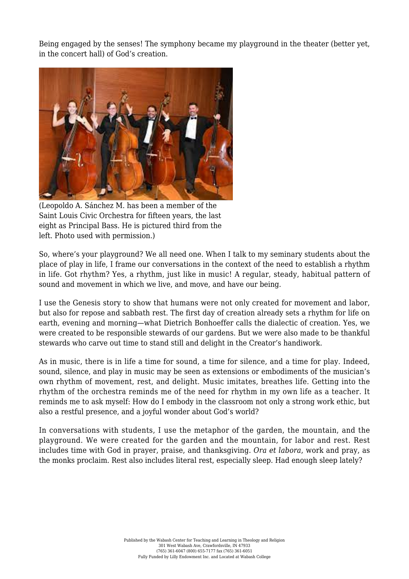Being engaged by the senses! The symphony became my playground in the theater (better yet, in the concert hall) of God's creation.



(Leopoldo A. Sánchez M. has been a member of the Saint Louis Civic Orchestra for fifteen years, the last eight as Principal Bass. He is pictured third from the left. Photo used with permission.)

So, where's your playground? We all need one. When I talk to my seminary students about the place of play in life, I frame our conversations in the context of the need to establish a rhythm in life. Got rhythm? Yes, a rhythm, just like in music! A regular, steady, habitual pattern of sound and movement in which we live, and move, and have our being.

I use the Genesis story to show that humans were not only created for movement and labor, but also for repose and sabbath rest. The first day of creation already sets a rhythm for life on earth, evening and morning—what Dietrich Bonhoeffer calls the dialectic of creation. Yes, we were created to be responsible stewards of our gardens. But we were also made to be thankful stewards who carve out time to stand still and delight in the Creator's handiwork.

As in music, there is in life a time for sound, a time for silence, and a time for play. Indeed, sound, silence, and play in music may be seen as extensions or embodiments of the musician's own rhythm of movement, rest, and delight. Music imitates, breathes life. Getting into the rhythm of the orchestra reminds me of the need for rhythm in my own life as a teacher. It reminds me to ask myself: How do I embody in the classroom not only a strong work ethic, but also a restful presence, and a joyful wonder about God's world?

In conversations with students, I use the metaphor of the garden, the mountain, and the playground. We were created for the garden and the mountain, for labor and rest. Rest includes time with God in prayer, praise, and thanksgiving. *Ora et labora*, work and pray, as the monks proclaim. Rest also includes literal rest, especially sleep. Had enough sleep lately?